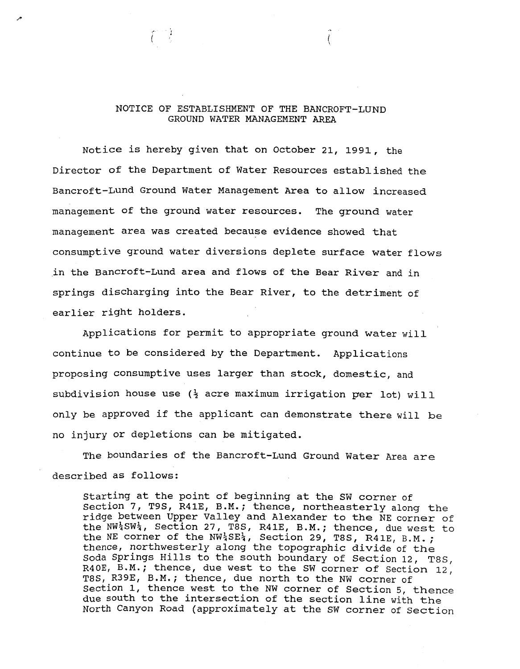## NOTICE OF ESTABLISHMENT OF THE BANCROFT-LUND GROUND WATER MANAGEMENT AREA

Notice is hereby given that on October 21, 1991, the Director of the Department of Water Resources established the Bancroft-Lund Ground Water Management Area to allow increased management of the ground water resources. The ground water management area was created because evidence showed that consumptive ground water diversions deplete surface water flows in the Bancroft-Lund area and flows of the Bear River and in springs discharging into the Bear River, to the detriment of earlier right holders.

Applications for permit to appropriate ground water will continue to be considered by the Department. Applications proposing consumptive uses larger than stock, domestic, and subdivision house use  $(\frac{1}{2})$  acre maximum irrigation per lot) will only be approved if the applicant can demonstrate there will be no injury or depletions can be mitigated.

The boundaries of the Bancroft-Lund Ground Water Area are described as follows:

starting at the point of beginning at the SW corner of section 7, T9S, R41E, B.M. ; thence, northeasterly along **the**  ridge between Upper Valley and Alexander to the NE corner of<br>the NW<sup>1</sup>SW<sup>1</sup>, Section 27, T8S, R41E, B.M.; thence, due west to the  $NN^14SW^1$ , Section 27, T8S, R41E, B.M.; thence, due west to the NE corner of the  $NN^14SE^1$ , Section 29, T8S, R41E, B.M.; thence, northwesterly along the topographic divide of the Soda Springs Hills to the south boundary of Section 12, T8S, <br>240E, B.M.; thence, due west to the SW corner of Section 12, R40E, B.M.; thence, due west to the SW corner of Section 12, T8S, R39E, B.M.; thence, due north to the NW corner of section 1, thence west to the NW corner of Section 5, thence due south to the intersection of the section line with the North Canyon Road (approximately at the SW corner of **Section**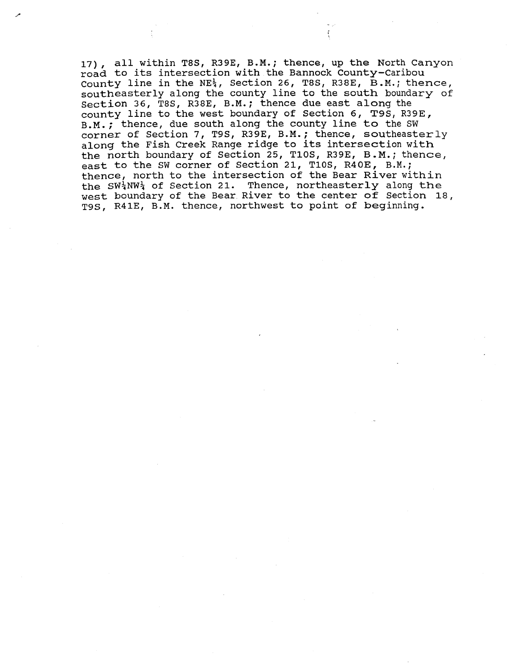17), all within T8S, R39E, B.M.; thence, up the North Canyon road to its intersection with the Bannock County-Caribou County line in the NE<sub>4</sub>, Section 26, T8S, R38E, B.M.; thence, southeasterly along the county line to the south boundary of section 36, T8S, R38E, B.M. ; thence due east along the Section 36, T8S, R38E, B.M.; thence due east along the<br>county line to the west boundary of Section 6, T9S, R39E,<br>B.M.; thence, due south along the county line to the SW B.M.; thence, due south along the county line to the SW corner of Section 7, T9S, R39E, B.M.; thence, southeasterly along the Fish Creek Range ridge to its intersection with the north boundary of Section 25, TlOS, R39E, **B.M.;** thence, east to the SW corner of Section 21, T10S, R40E, B.M.; thence, north to the intersection of the Bear River within the SW<sub>4</sub>NW<sub>4</sub> of Section 21. Thence, northeasterly along the west boundary of the Bear River to the center of Section 18, T9S, R41E, B.M. thence, northwest to point of beginning.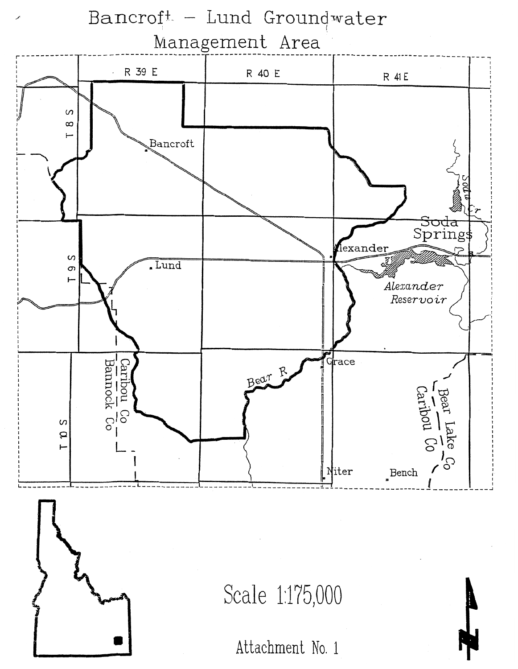

Attachment No. 1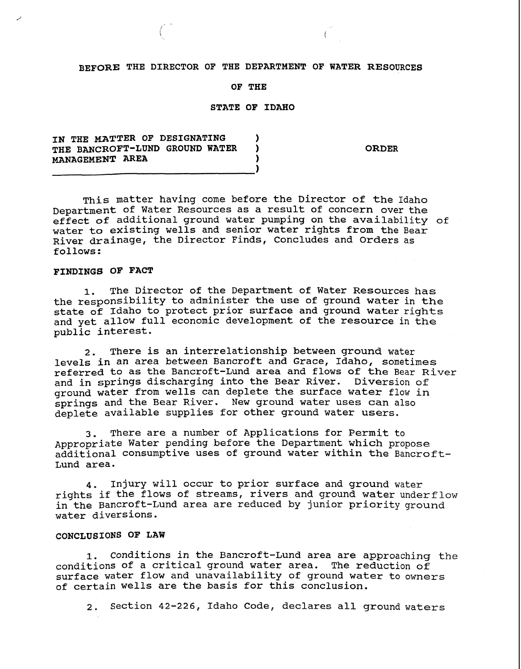## **BEFORE THE DIRECTOR OF THE DEPARTMENT OF WATER RESOURCES**

### **OF THE**

## **STATE OF IDAHO**

# **IN THE MATTER OF DESIGNATING**  $\overrightarrow{D}$  **1 THE BANCROFT-LUND GROUND WATER** ) **MANAGEMENT AREA 1**

**ORDER** 

This matter having come before the Director of the Idaho Department of Water Resources as a result of concern over the effect of additional ground water pumping on the availability of water to existing wells and senior water rights from the Bear River drainage, the Director Finds, Concludes and Orders as follows:

### **FINDINGS** OF **FACT**

**1.** The Director of the Department of Water Resources has the responsibility to administer the use of ground water in the state of Idaho to protect prior surface and ground water rights and yet allow full economic development of the resource in the public interest.

**2.** There is an interrelationship between ground water levels in an area between Bancroft and Grace, Idaho, sometimes referred to as the Bancroft-Lund area and flows of the Bear River and in springs discharging into the Bear River. Diversion of ground water from wells can deplete the surface water flow in springs and the Bear River. New ground water uses can also deplete available supplies for other ground water users.

**3.** There are a number of Applications for Permit to Appropriate Water pending before the Department which propose additional consumptive uses of ground water within the Bancroft-Lund area.

4. 1njury will occur to prior surface and ground water rights if the flows of streams, rivers and ground water underflow in the Bancroft-Lund area are reduced by junior priority ground water diversions.

## **CONCLUSIONS OF LAW**

**1.** conditions in the Bancroft-Lund area are approaching the conditions of a critical ground water area. The reduction of surface water flow and unavailability of ground water to owners of certain wells are the basis for this conclusion.

**2.** Section 42-226, Idaho Code, declares all ground waters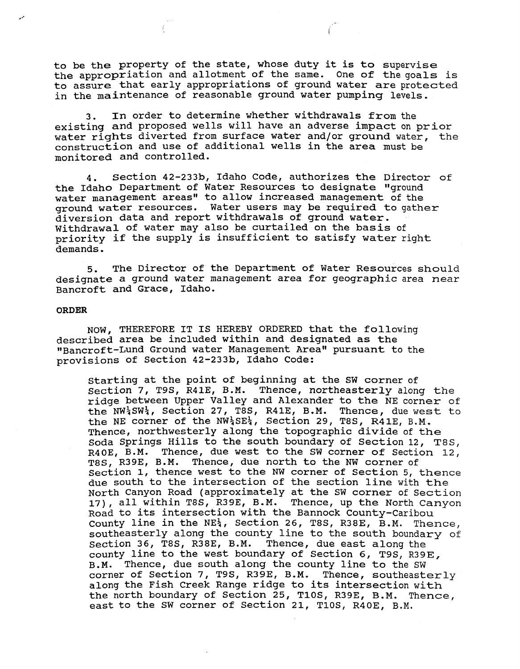to be the property of the state, whose duty it is to supervise the appropriation and allotment of the same. One of the goals is to assure that early appropriations of ground water are protected in the maintenance of reasonable ground water pumping levels.

3. In order to determine whether withdrawals from the existing and proposed wells will have an adverse impact on prior water rights diverted from surface water and/or ground water, the construction and use of additional wells in the area must be monitored and controlled.

4. Section 42-233b, Idaho Code, authorizes the Director of the Idaho Department of Water Resources to designate "ground water management areas" to allow increased management of the ground water resources. Water users may be required to gather diversion data and report withdrawals of ground water. Withdrawal of water may also be curtailed on the basis of priority if the supply is insufficient to satisfy water right demands.

5. The Director of the Department of Water Resources should designate a ground water management area for geographic area near Bancroft and Grace, Idaho.

#### **ORDER**

NOW, THEREFORE IT IS HEREBY ORDERED that the following described area be included within and designated as the "Bancroft-Lund Ground water Management Area" pursuant to the provisions of Section 42-233b, Idaho Code:

starting at the point of beginning at the SW corner of section 7, T9S, R41E, B.M. Thence, northeasterly along **the**  ridge between Upper Valley and Alexander to the NE corner of the NW+SW+, Section 27, T8S, R41E, B.M. Thence, due west to the NE corner of the  $NW_3^1SE_3^1$ , Section 29, T8S, R41E, B.M. Thence, northwesterly along the topographic divide of the Soda Springs Hills to the south boundary of Section 12, **T8S,**  R40E, B.M. Thence, due west to the SW corner of Section 12, T8S, R39E, B.M. Thence, due north to the NW corner of section 1, thence west to the **NW** corner of Section 5, thence due south to the intersection of the section line with the North Canyon Road (approximately at the SW corner of Section 17), all within T8S, R39E, B.M. Thence, up the North Canyon Road to its intersection with the Bannock County-Caribou County line in the  $NE_{4}^{1}$ , Section 26, T8S, R38E, B.M. Thence, southeasterly along the county line to the south boundary of section 36, T8S, R38E, B.M. Thence, due east along the county line to the west boundary of Section 6, T9S, R39E, B.M. Thence, due south along the county line to the SW corner of Section 7, T9S, R39E, B.M. Thence, southeasterly along the Fish Creek Range ridge to its intersection with the north boundary of Section 25, TlOS, R39E, B.M. Thence, east to the SW corner of Section 21, TlOS, R40E, B.M.